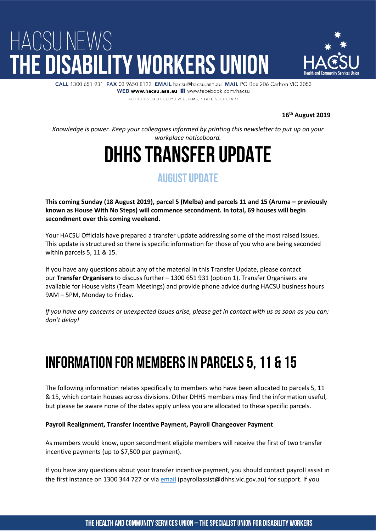

CALL 1300 651 931 FAX 03 9650 8122 EMAIL hacsu@hacsu.asp.au. MAIL PO Box 206 Carlton VIC 3053 WEB www.hacsu.asn.au || www.facebook.com/hacsu AUTHORISED BY LLOYD WILLIAMS. STATE SECRETARY

**16th August 2019**

*Knowledge is power. Keep your colleagues informed by printing this newsletter to put up on your workplace noticeboard.*

## DHHS Transfer Update

### **AUGUST UPDATE**

**This coming Sunday (18 August 2019), parcel 5 (Melba) and parcels 11 and 15 (Aruma – previously known as House With No Steps) will commence secondment. In total, 69 houses will begin secondment over this coming weekend.**

Your HACSU Officials have prepared a transfer update addressing some of the most raised issues. This update is structured so there is specific information for those of you who are being seconded within parcels 5, 11 & 15.

If you have any questions about any of the material in this Transfer Update, please contact our **Transfer Organisers** to discuss further – 1300 651 931 (option 1). Transfer Organisers are available for House visits (Team Meetings) and provide phone advice during HACSU business hours 9AM – 5PM, Monday to Friday.

*If you have any concerns or unexpected issues arise, please get in contact with us as soon as you can; don't delay!*

## Information for Members in Parcels 5, 11 & 15

The following information relates specifically to members who have been allocated to parcels 5, 11 & 15, which contain houses across divisions. Other DHHS members may find the information useful, but please be aware none of the dates apply unless you are allocated to these specific parcels.

### **Payroll Realignment, Transfer Incentive Payment, Payroll Changeover Payment**

As members would know, upon secondment eligible members will receive the first of two transfer incentive payments (up to \$7,500 per payment).

If you have any questions about your transfer incentive payment, you should contact payroll assist in the first instance on 1300 344 727 or via [email](mailto:payrollassist@dhhs.vic.gov.au) (payrollassist@dhhs.vic.gov.au) for support. If you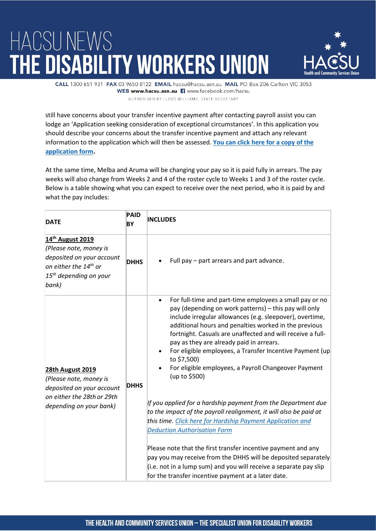

CALL 1300 651 931 FAX 03 9650 8122 EMAIL hacsu@hacsu.asn.au MAIL PO Box 206 Carlton VIC 3053 WEB www.hacsu.asn.au || www.facebook.com/hacsu AUTHORISED BY LLOYD WILLIAMS. STATE SECRETARY

still have concerns about your transfer incentive payment after contacting payroll assist you can lodge an 'Application seeking consideration of exceptional circumstances'. In this application you should describe your concerns about the transfer incentive payment and attach any relevant information to the application which will then be assessed. **[You can click here for a copy of the](https://hacsu.asn.au/file/55725/20879) [application form.](https://hacsu.asn.au/file/55725/20879)**

At the same time, Melba and Aruma will be changing your pay so it is paid fully in arrears. The pay weeks will also change from Weeks 2 and 4 of the roster cycle to Weeks 1 and 3 of the roster cycle. Below is a table showing what you can expect to receive over the next period, who it is paid by and what the pay includes:

| <b>DATE</b>                                                                                                                                                   | <b>PAID</b><br>ΒY | <b>INCLUDES</b>                                                                                                                                                                                                                                                                                                                                                                                                                                                                                                                                                                                                                                                                                                                                                                                                                                                                                                                                                     |
|---------------------------------------------------------------------------------------------------------------------------------------------------------------|-------------------|---------------------------------------------------------------------------------------------------------------------------------------------------------------------------------------------------------------------------------------------------------------------------------------------------------------------------------------------------------------------------------------------------------------------------------------------------------------------------------------------------------------------------------------------------------------------------------------------------------------------------------------------------------------------------------------------------------------------------------------------------------------------------------------------------------------------------------------------------------------------------------------------------------------------------------------------------------------------|
| 14 <sup>th</sup> August 2019<br>(Please note, money is<br>deposited on your account<br>on either the 14 <sup>th</sup> or<br>$15th$ depending on your<br>bank) | <b>DHHS</b>       | Full pay - part arrears and part advance.                                                                                                                                                                                                                                                                                                                                                                                                                                                                                                                                                                                                                                                                                                                                                                                                                                                                                                                           |
| <b>28th August 2019</b><br>(Please note, money is<br>deposited on your account<br>on either the 28th or 29th<br>depending on your bank)                       | <b>DHHS</b>       | For full-time and part-time employees a small pay or no<br>$\bullet$<br>pay (depending on work patterns) - this pay will only<br>include irregular allowances (e.g. sleepover), overtime,<br>additional hours and penalties worked in the previous<br>fortnight. Casuals are unaffected and will receive a full-<br>pay as they are already paid in arrears.<br>For eligible employees, a Transfer Incentive Payment (up<br>to \$7,500)<br>For eligible employees, a Payroll Changeover Payment<br>(up to \$500)<br>If you applied for a hardship payment from the Department due<br>to the impact of the payroll realignment, it will also be paid at<br>this time. Click here for Hardship Payment Application and<br><b>Deduction Authorisation Form</b><br>Please note that the first transfer incentive payment and any<br>pay you may receive from the DHHS will be deposited separately<br>(i.e. not in a lump sum) and you will receive a separate pay slip |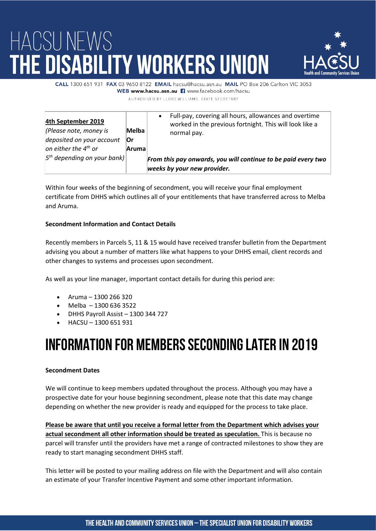

CALL 1300 651 931 FAX 03 9650 8122 EMAIL hacsu@hacsu.asp.au. MAIL PO Box 206 Carlton VIC 3053 WEB www.hacsu.asn.au E www.facebook.com/hacsu

AUTHORISED BY LLOYD WILLIAMS. STATE SECRETARY

| 4th September 2019<br>(Please note, money is<br>deposited on your account<br>on either the $4^{th}$ or | Melba<br>∣Or<br><b>Aruma</b> | Full-pay, covering all hours, allowances and overtime<br>$\bullet$<br>worked in the previous fortnight. This will look like a<br>normal pay. |
|--------------------------------------------------------------------------------------------------------|------------------------------|----------------------------------------------------------------------------------------------------------------------------------------------|
| $5th$ depending on your bank)                                                                          |                              | From this pay onwards, you will continue to be paid every two<br>weeks by your new provider.                                                 |

Within four weeks of the beginning of secondment, you will receive your final employment certificate from DHHS which outlines all of your entitlements that have transferred across to Melba and Aruma.

### **Secondment Information and Contact Details**

Recently members in Parcels 5, 11 & 15 would have received transfer bulletin from the Department advising you about a number of matters like what happens to your DHHS email, client records and other changes to systems and processes upon secondment.

As well as your line manager, important contact details for during this period are:

- Aruma 1300 266 320
- Melba  $-13006363522$
- DHHS Payroll Assist 1300 344 727
- HACSU 1300 651 931

### Information for Members Seconding Later in 2019

### **Secondment Dates**

We will continue to keep members updated throughout the process. Although you may have a prospective date for your house beginning secondment, please note that this date may change depending on whether the new provider is ready and equipped for the process to take place.

**Please be aware that until you receive a formal letter from the Department which advises your actual secondment all other information should be treated as speculation.** This is because no parcel will transfer until the providers have met a range of contracted milestones to show they are ready to start managing secondment DHHS staff.

This letter will be posted to your mailing address on file with the Department and will also contain an estimate of your Transfer Incentive Payment and some other important information.